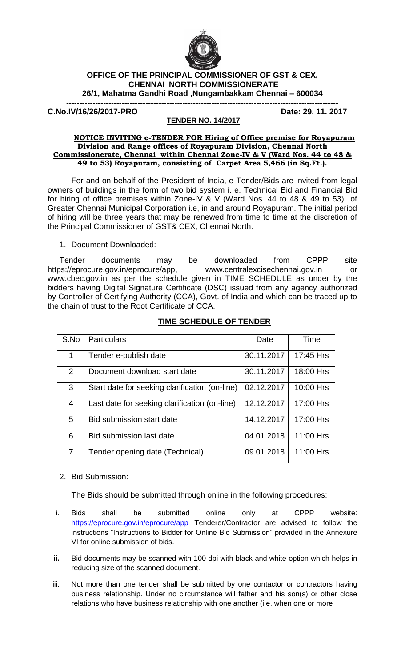

## **OFFICE OF THE PRINCIPAL COMMISSIONER OF GST & CEX, CHENNAI NORTH COMMISSIONERATE 26/1, Mahatma Gandhi Road ,Nungambakkam Chennai – 600034**

**-------------------------------------------------------------------------------------------------------**

**C.No.IV/16/26/2017-PRO Date: 29. 11. 2017**

## **TENDER NO. 14/2017**

## **NOTICE INVITING e-TENDER FOR Hiring of Office premise for Royapuram Division and Range offices of Royapuram Division, Chennai North Commissionerate, Chennai within Chennai Zone-IV & V (Ward Nos. 44 to 48 & 49 to 53) Royapuram, consisting of Carpet Area 5,466 (in Sq.Ft.).**

For and on behalf of the President of India, e-Tender/Bids are invited from legal owners of buildings in the form of two bid system i. e. Technical Bid and Financial Bid for hiring of office premises within Zone-IV & V (Ward Nos. 44 to 48 & 49 to 53) of Greater Chennai Municipal Corporation i.e, in and around Royapuram. The initial period of hiring will be three years that may be renewed from time to time at the discretion of the Principal Commissioner of GST& CEX, Chennai North.

1. Document Downloaded:

Tender documents may be downloaded from CPPP site [https://eprocure.gov.in/eprocure/app,](https://eprocure.gov.in/eprocure/app) [www.centralexcisechennai.gov.in](http://www.centralexcisechennai.gov.in/) or [www.cbec.gov.in](http://www.cbec.gov.in/) as per the schedule given in TIME SCHEDULE as under by the bidders having Digital Signature Certificate (DSC) issued from any agency authorized by Controller of Certifying Authority (CCA), Govt. of India and which can be traced up to the chain of trust to the Root Certificate of CCA.

| TIME SCHEDULE OF TENDER |  |  |
|-------------------------|--|--|
|                         |  |  |

| S.No           | <b>Particulars</b>                             | Date       | Time      |
|----------------|------------------------------------------------|------------|-----------|
| 1              | Tender e-publish date                          | 30.11.2017 | 17:45 Hrs |
| $\overline{2}$ | Document download start date                   | 30.11.2017 | 18:00 Hrs |
| 3              | Start date for seeking clarification (on-line) | 02.12.2017 | 10:00 Hrs |
| 4              | Last date for seeking clarification (on-line)  | 12.12.2017 | 17:00 Hrs |
| 5              | Bid submission start date                      | 14.12.2017 | 17:00 Hrs |
| 6              | Bid submission last date                       | 04.01.2018 | 11:00 Hrs |
|                | Tender opening date (Technical)                | 09.01.2018 | 11:00 Hrs |

2. Bid Submission:

The Bids should be submitted through online in the following procedures:

- i. Bids shall be submitted online only at CPPP website: <https://eprocure.gov.in/eprocure/app> Tenderer/Contractor are advised to follow the instructions "Instructions to Bidder for Online Bid Submission" provided in the Annexure VI for online submission of bids.
- **ii.** Bid documents may be scanned with 100 dpi with black and white option which helps in reducing size of the scanned document.
- iii. Not more than one tender shall be submitted by one contactor or contractors having business relationship. Under no circumstance will father and his son(s) or other close relations who have business relationship with one another (i.e. when one or more